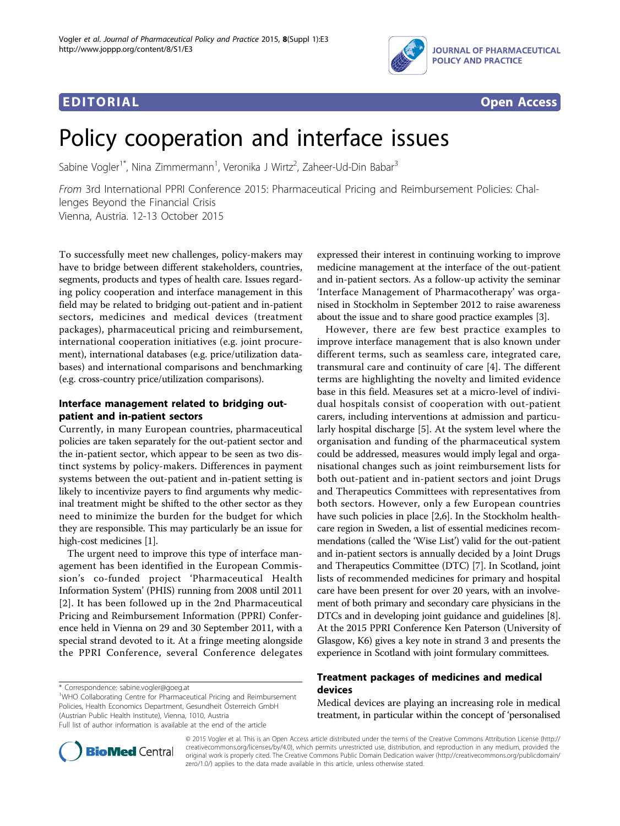



# Policy cooperation and interface issues

Sabine Vogler<sup>1\*</sup>, Nina Zimmermann<sup>1</sup>, Veronika J Wirtz<sup>2</sup>, Zaheer-Ud-Din Babar<sup>3</sup>

From 3rd International PPRI Conference 2015: Pharmaceutical Pricing and Reimbursement Policies: Challenges Beyond the Financial Crisis

Vienna, Austria. 12-13 October 2015

To successfully meet new challenges, policy-makers may have to bridge between different stakeholders, countries, segments, products and types of health care. Issues regarding policy cooperation and interface management in this field may be related to bridging out-patient and in-patient sectors, medicines and medical devices (treatment packages), pharmaceutical pricing and reimbursement, international cooperation initiatives (e.g. joint procurement), international databases (e.g. price/utilization databases) and international comparisons and benchmarking (e.g. cross-country price/utilization comparisons).

# Interface management related to bridging outpatient and in-patient sectors

Currently, in many European countries, pharmaceutical policies are taken separately for the out-patient sector and the in-patient sector, which appear to be seen as two distinct systems by policy-makers. Differences in payment systems between the out-patient and in-patient setting is likely to incentivize payers to find arguments why medicinal treatment might be shifted to the other sector as they need to minimize the burden for the budget for which they are responsible. This may particularly be an issue for high-cost medicines [[1\]](#page-1-0).

The urgent need to improve this type of interface management has been identified in the European Commission's co-funded project 'Pharmaceutical Health Information System' (PHIS) running from 2008 until 2011 [[2](#page-1-0)]. It has been followed up in the 2nd Pharmaceutical Pricing and Reimbursement Information (PPRI) Conference held in Vienna on 29 and 30 September 2011, with a special strand devoted to it. At a fringe meeting alongside the PPRI Conference, several Conference delegates

\* Correspondence: [sabine.vogler@goeg.at](mailto:sabine.vogler@goeg.at)

<sup>1</sup>WHO Collaborating Centre for Pharmaceutical Pricing and Reimbursement Policies, Health Economics Department, Gesundheit Österreich GmbH (Austrian Public Health Institute), Vienna, 1010, Austria

Full list of author information is available at the end of the article

expressed their interest in continuing working to improve medicine management at the interface of the out-patient and in-patient sectors. As a follow-up activity the seminar 'Interface Management of Pharmacotherapy' was organised in Stockholm in September 2012 to raise awareness about the issue and to share good practice examples [\[3\]](#page-1-0).

However, there are few best practice examples to improve interface management that is also known under different terms, such as seamless care, integrated care, transmural care and continuity of care [[4\]](#page-1-0). The different terms are highlighting the novelty and limited evidence base in this field. Measures set at a micro-level of individual hospitals consist of cooperation with out-patient carers, including interventions at admission and particularly hospital discharge [[5](#page-1-0)]. At the system level where the organisation and funding of the pharmaceutical system could be addressed, measures would imply legal and organisational changes such as joint reimbursement lists for both out-patient and in-patient sectors and joint Drugs and Therapeutics Committees with representatives from both sectors. However, only a few European countries have such policies in place [\[2,6](#page-1-0)]. In the Stockholm healthcare region in Sweden, a list of essential medicines recommendations (called the 'Wise List') valid for the out-patient and in-patient sectors is annually decided by a Joint Drugs and Therapeutics Committee (DTC) [[7\]](#page-1-0). In Scotland, joint lists of recommended medicines for primary and hospital care have been present for over 20 years, with an involvement of both primary and secondary care physicians in the DTCs and in developing joint guidance and guidelines [[8](#page-1-0)]. At the 2015 PPRI Conference Ken Paterson (University of Glasgow, K6) gives a key note in strand 3 and presents the experience in Scotland with joint formulary committees.

# Treatment packages of medicines and medical devices

Medical devices are playing an increasing role in medical treatment, in particular within the concept of 'personalised



© 2015 Vogler et al. This is an Open Access article distributed under the terms of the Creative Commons Attribution License [\(http://](http://creativecommons.org/licenses/by/4.0) [creativecommons.org/licenses/by/4.0](http://creativecommons.org/licenses/by/4.0)), which permits unrestricted use, distribution, and reproduction in any medium, provided the original work is properly cited. The Creative Commons Public Domain Dedication waiver ([http://creativecommons.org/publicdomain/](http://creativecommons.org/publicdomain/zero/1.0/) [zero/1.0/](http://creativecommons.org/publicdomain/zero/1.0/)) applies to the data made available in this article, unless otherwise stated.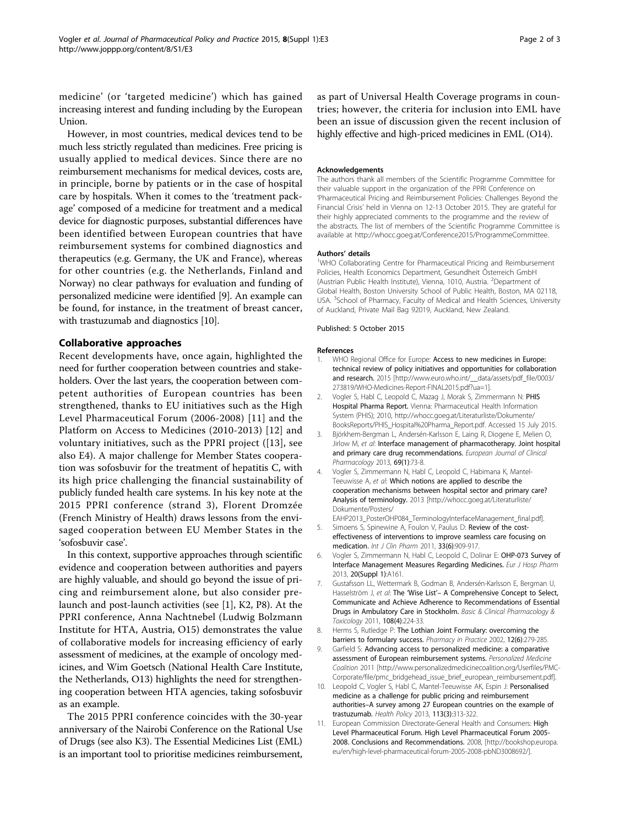<span id="page-1-0"></span>medicine' (or 'targeted medicine') which has gained increasing interest and funding including by the European Union.

However, in most countries, medical devices tend to be much less strictly regulated than medicines. Free pricing is usually applied to medical devices. Since there are no reimbursement mechanisms for medical devices, costs are, in principle, borne by patients or in the case of hospital care by hospitals. When it comes to the 'treatment package' composed of a medicine for treatment and a medical device for diagnostic purposes, substantial differences have been identified between European countries that have reimbursement systems for combined diagnostics and therapeutics (e.g. Germany, the UK and France), whereas for other countries (e.g. the Netherlands, Finland and Norway) no clear pathways for evaluation and funding of personalized medicine were identified [9]. An example can be found, for instance, in the treatment of breast cancer, with trastuzumab and diagnostics [10].

## Collaborative approaches

Recent developments have, once again, highlighted the need for further cooperation between countries and stakeholders. Over the last years, the cooperation between competent authorities of European countries has been strengthened, thanks to EU initiatives such as the High Level Pharmaceutical Forum (2006-2008) [11] and the Platform on Access to Medicines (2010-2013) [[12\]](#page-2-0) and voluntary initiatives, such as the PPRI project ([[13](#page-2-0)], see also E4). A major challenge for Member States cooperation was sofosbuvir for the treatment of hepatitis C, with its high price challenging the financial sustainability of publicly funded health care systems. In his key note at the 2015 PPRI conference (strand 3), Florent Dromzée (French Ministry of Health) draws lessons from the envisaged cooperation between EU Member States in the 'sofosbuvir case'.

In this context, supportive approaches through scientific evidence and cooperation between authorities and payers are highly valuable, and should go beyond the issue of pricing and reimbursement alone, but also consider prelaunch and post-launch activities (see [1], K2, P8). At the PPRI conference, Anna Nachtnebel (Ludwig Bolzmann Institute for HTA, Austria, O15) demonstrates the value of collaborative models for increasing efficiency of early assessment of medicines, at the example of oncology medicines, and Wim Goetsch (National Health Care Institute, the Netherlands, O13) highlights the need for strengthening cooperation between HTA agencies, taking sofosbuvir as an example.

The 2015 PPRI conference coincides with the 30-year anniversary of the Nairobi Conference on the Rational Use of Drugs (see also K3). The Essential Medicines List (EML) is an important tool to prioritise medicines reimbursement,

as part of Universal Health Coverage programs in countries; however, the criteria for inclusion into EML have been an issue of discussion given the recent inclusion of highly effective and high-priced medicines in EML (O14).

#### Acknowledgements

The authors thank all members of the Scientific Programme Committee for their valuable support in the organization of the PPRI Conference on 'Pharmaceutical Pricing and Reimbursement Policies: Challenges Beyond the Financial Crisis' held in Vienna on 12-13 October 2015. They are grateful for their highly appreciated comments to the programme and the review of the abstracts. The list of members of the Scientific Programme Committee is available at<http://whocc.goeg.at/Conference2015/ProgrammeCommittee>.

#### Authors' details <sup>1</sup>

<sup>1</sup>WHO Collaborating Centre for Pharmaceutical Pricing and Reimbursement Policies, Health Economics Department, Gesundheit Österreich GmbH (Austrian Public Health Institute), Vienna, 1010, Austria. <sup>2</sup>Department of Global Health, Boston University School of Public Health, Boston, MA 02118, USA. <sup>3</sup>School of Pharmacy, Faculty of Medical and Health Sciences, University of Auckland, Private Mail Bag 92019, Auckland, New Zealand.

#### Published: 5 October 2015

#### References

- WHO Regional Office for Europe: Access to new medicines in Europe: technical review of policy initiatives and opportunities for collaboration and research. 2015 [http://www.euro.who.int/ data/assets/pdf file/0003/ [273819/WHO-Medicines-Report-FINAL2015.pdf?ua=1\]](http://www.euro.who.int/__data/assets/pdf_file/0003/273819/WHO-Medicines-Report-FINAL2015.pdf?ua=1).
- 2. Vogler S, Habl C, Leopold C, Mazag J, Morak S, Zimmermann N: PHIS Hospital Pharma Report. Vienna: Pharmaceutical Health Information System (PHIS); 2010, http://whocc.goeg.at/Literaturliste/Dokumente/ BooksReports/PHIS\_Hospital%20Pharma\_Report.pdf. Accessed 15 July 2015.
- 3. Björkhem-Bergman L, Andersén-Karlsson E, Laing R, Diogene E, Melien O, Jirlow M, et al: Interface management of pharmacotherapy. Joint hospital and primary care drug recommendations. European Journal of Clinical Pharmacology 2013, 69(1):73-8.
- 4. Vogler S, Zimmermann N, Habl C, Leopold C, Habimana K, Mantel-Teeuwisse A, et al: Which notions are applied to describe the cooperation mechanisms between hospital sector and primary care? Analysis of terminology. 2013 [[http://whocc.goeg.at/Literaturliste/](http://whocc.goeg.at/Literaturliste/Dokumente/Posters/EAHP2013_PosterOHP084_TerminologyInterfaceManagement_final.pdf) [Dokumente/Posters/](http://whocc.goeg.at/Literaturliste/Dokumente/Posters/EAHP2013_PosterOHP084_TerminologyInterfaceManagement_final.pdf)
- [EAHP2013\\_PosterOHP084\\_TerminologyInterfaceManagement\\_final.pdf](http://whocc.goeg.at/Literaturliste/Dokumente/Posters/EAHP2013_PosterOHP084_TerminologyInterfaceManagement_final.pdf)]. 5. Simoens S, Spinewine A, Foulon V, Paulus D: Review of the costeffectiveness of interventions to improve seamless care focusing on
- medication. Int J Clin Pharm 2011, 33(6):909-917. 6. Vogler S, Zimmermann N, Habl C, Leopold C, Dolinar E: OHP-073 Survey of
- Interface Management Measures Regarding Medicines. Eur J Hosp Pharm 2013, 20(Suppl 1):A161. 7. Gustafsson LL, Wettermark B, Godman B, Andersén-Karlsson E, Bergman U,
- Hasselström J, et al: The 'Wise List'- A Comprehensive Concept to Select, Communicate and Achieve Adherence to Recommendations of Essential Drugs in Ambulatory Care in Stockholm. Basic & Clinical Pharmacology & Toxicology 2011, 108(4):224-33.
- 8. Herms S, Rutledge P: The Lothian Joint Formulary: overcoming the barriers to formulary success. Pharmacy in Practice 2002, 12(6):279-285.
- 9. Garfield S: Advancing access to personalized medicine: a comparative assessment of European reimbursement systems. Personalized Medicine Coalition 2011 [\[http://www.personalizedmedicinecoalition.org/Userfiles/PMC-](http://www.personalizedmedicinecoalition.org/Userfiles/PMC-Corporate/file/pmc_bridgehead_issue_brief_european_reimbursement.pdf)[Corporate/file/pmc\\_bridgehead\\_issue\\_brief\\_european\\_reimbursement.pdf\]](http://www.personalizedmedicinecoalition.org/Userfiles/PMC-Corporate/file/pmc_bridgehead_issue_brief_european_reimbursement.pdf).
- 10. Leopold C, Vogler S, Habl C, Mantel-Teeuwisse AK, Espin J: Personalised medicine as a challenge for public pricing and reimbursement authorities–A survey among 27 European countries on the example of trastuzumab. Health Policy 2013, 113(3):313-322.
- 11. European Commission Directorate-General Health and Consumers: High Level Pharmaceutical Forum. High Level Pharmaceutical Forum 2005- 2008. Conclusions and Recommendations. 2008, [http://bookshop.europa. eu/en/high-level-pharmaceutical-forum-2005-2008-pbND3008692/].